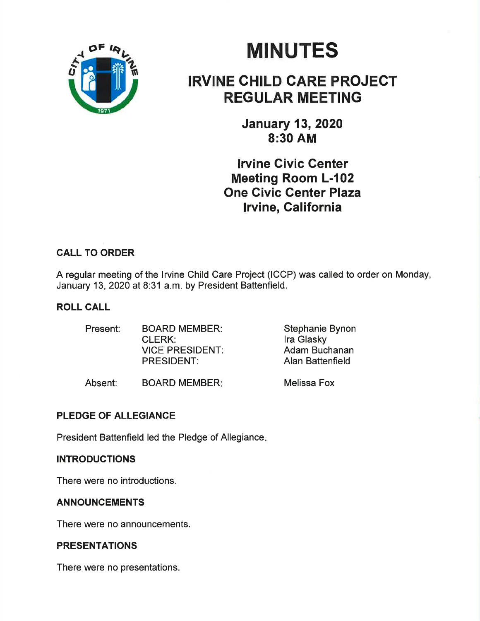

# **MINUTES**

## IRVINE CHILD CARE PROJECT REGULAR MEETING

January 13,2020 8:30 AM

lrvine Givic Genter Meeting Room L-102 One Civic Genter Plaza lrvine, Galifornia

### CALL TO ORDER

A regular meeting of the Irvine Child Care Project (ICCP) was called to order on Monday, January 13,2020 at 8:31 a.m. by President Battenfield.

#### ROLL CALL

| Present: | <b>BOARD MEMBER:</b>   | Stephanie Bynon  |
|----------|------------------------|------------------|
|          | CLERK:                 | Ira Glasky       |
|          | <b>VICE PRESIDENT:</b> | Adam Buchanan    |
|          | <b>PRESIDENT:</b>      | Alan Battenfield |
|          |                        |                  |

Absent: BOARD MEMBER: Melissa Fox

#### PLEDGE OF ALLEGIANCE

President Battenfield led the Pledge of Allegiance

#### **INTRODUCTIONS**

There were no introductions.

#### ANNOUNCEMENTS

There were no announcements.

#### PRESENTATIONS

There were no presentations.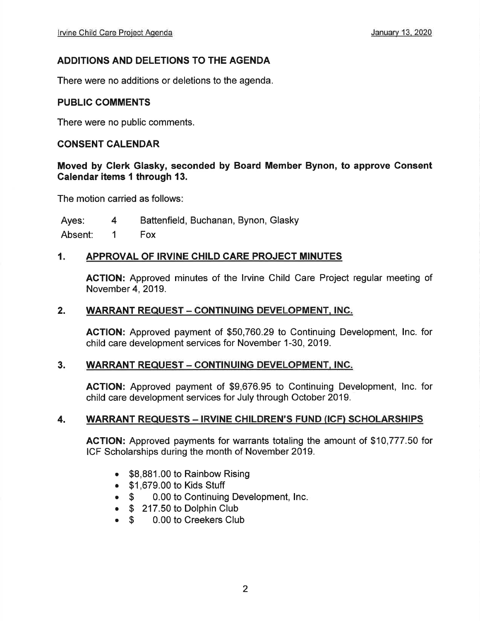#### ADDITIONS AND DELETIONS TO THE AGENDA

There were no additions or deletions to the agenda.

#### PUBLIC COMMENTS

There were no public comments.

#### CONSENT CALENDAR

#### Moved by Glerk Glasky, seconded by Board Member Bynon, to approve Consent Calendar items 1 through 13.

The motion carried as follows

Ayes: 4 Battenfield, Buchanan, Bynon, Glasky

Absent: 1 Fox

#### 1. APPROVAL OF IRVINE CHILD CARE PROJECT MINUTES

AGTION: Approved minutes of the lrvine Child Care Project regular meeting of November 4,2019.

#### 2. WARRANT REQUEST - CONTINUING DEVELOPMENT, INC.

ACTION: Approved payment of \$50,760.29 to Continuing Development, lnc. for child care development services for November 1-30, 2019.

#### 3. WARRANT REQUEST - CONTINUING DEVELOPMENT, INC.

AGTION: Approved payment of \$9,676.95 to Continuing Development, lnc. for child care development services for July through October 2019.

#### 4. WARRANT REQUESTS - IRVINE CHILDREN'S FUND (ICF) SCHOLARSHIPS

AGTION: Approved payments for warrants totaling the amount of \$10,777.50 for ICF Scholarships during the month of November 2019.

- \$8,881.00 to Rainbow Rising
- . \$1,679.00 to Kids Stuff
- \$ 0.00 to Continuing Development, Inc.
- \$ 217.50 to Dolphin Club<br>● \$ 0.00 to Creekers Clu
- \$ 0.00 to Creekers Club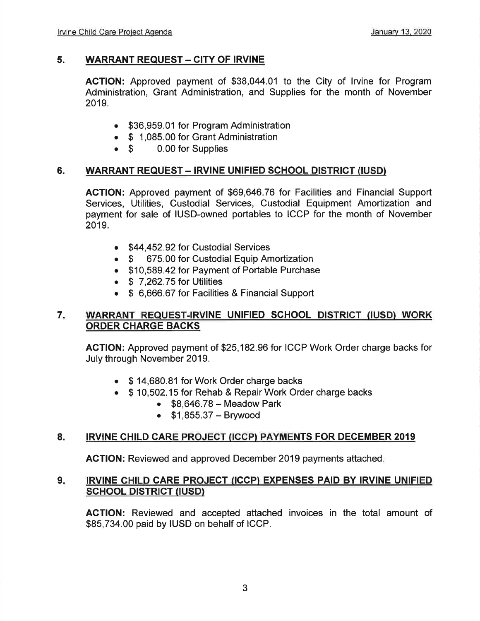#### 5. WARRANT REQUEST - CITY OF IRVINE

AGTION: Approved payment of \$38,044.01 to the City of lrvine for Program Administration, Grant Administration, and Supplies for the month of November 2019.

- . \$36,959.01 for Program Administration
- \$ 1,085.00 for Grant Administration<br>● \$ 0.00 for Supplies
- 0.00 for Supplies

#### 6. WARRANT REQUEST - IRVINE UNIFIED SCHOOL DISTRICT (IUSD)

ACTION: Approved payment of \$69,646.76 for Facilities and Financial Support Services, Utilities, Custodial Services, Custodial Equipment Amortization and payment for sale of IUSD-owned portables to ICCP for the month of November 2019.

- \$44,452.92 for Custodial Services
- \$ 675.00 for Custodial Equip Amortization
- . \$10,589.42 for Payment of Portable Purchase
- $\bullet$  \$ 7.262.75 for Utilities
- \$ 6,666.67 for Facilities & Financial Support

#### WARRANT REQUEST.IRVINE UNIFIED SCHOOL DISTRIGT (IUSD) WORK ORDER CHARGE BACKS 7

AGTION: Approved payment of \$25,182.96 for ICCP Work Order charge backs for July through November 2019.

- \$14,680.81 for Work Order charge backs
- \$10,502.15 for Rehab & Repair Work Order charge backs
	- $\bullet$  \$8,646.78 Meadow Park
	- $•$  \$1,855.37 Brywood

#### 8. IRVINE CHILD CARE PROJECT (ICCP) PAYMENTS FOR DECEMBER 2019

AGTION: Reviewed and approved December 2019 payments attached

#### 9. IRVINE CHILD CARE PROJECT (ICCP) EXPENSES PAID BY IRVINE UNIFIED SCHOOL DISTRICT (IUSD)

ACTION: Reviewed and accepted attached invoices in the total amount of \$85,734.00 paid by IUSD on behalf of ICCP.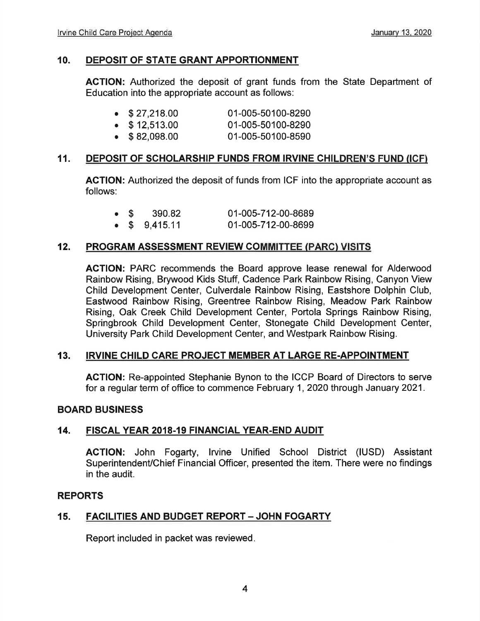#### 10. DEPOSIT OF STATE GRANT APPORTIONMENT

ACTION: Authorized the deposit of grant funds from the State Department of Education into the appropriate account as follows:

| $\bullet$ \$27,218.00 | 01-005-50100-8290 |
|-----------------------|-------------------|
|                       |                   |
|                       |                   |

- $\bullet$  \$12,513.00 01-005-50100-8290
- . \$ 82,098.00 01-005-50100-8590

#### 11. DEPOSIT OF SCHOLARSHIP FUNDS FROM IRVINE CHILDREN'S FUND (ICFì

AGTION: Authorized the deposit of funds from ICF into the appropriate account as follows:

| 01-005-712-00-8689<br>390.82<br>$\bullet$ \$ |
|----------------------------------------------|
|----------------------------------------------|

 $\bullet$  \$ 9,415.11 01-005-712-00-8699

#### 12. PROGRAM ASSESSMENT REVIEW COMMITTEE (PARC) VISITS

ACTION: PARC recommends the Board approve lease renewal for Alderwood Rainbow Rising, Brywood Kids Stuff, Cadence Park Rainbow Rising, Canyon View Child Development Center, Culverdale Rainbow Rising, Eastshore Dolphin Club, Eastwood Rainbow Rising, Greentree Rainbow Rising, Meadow Park Rainbow Rising, Oak Creek Child Development Center, Portola Springs Rainbow Rising, Springbrook Child Development Center, Stonegate Child Development Center, University Park Child Development Center, and Westpark Rainbow Rising.

#### 13. IRVINE CHILD CARE PROJECT MEMBER AT LARGE RE.APPOINTMENT

ACTION: Re-appointed Stephanie Bynon to the ICCP Board of Directors to serve for a regular term of office to commence February 1, 2020 through January 2021.

#### BOARD BUSINESS

#### 14. FISCAL YEAR 2018.19 FINANCIAL YEAR-END AUDIT

AGTION: John Fogarty, lrvine Unified School District (IUSD) Assistant Superintendent/Chief Financial Officer, presented the item. There were no findings in the audit.

#### REPORTS

#### 15. FACILITIES AND BUDGET REPORT - JOHN FOGARTY

Report included in packet was reviewed